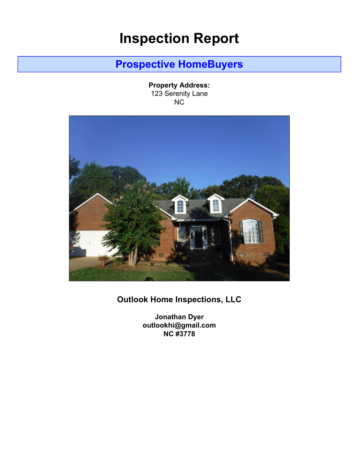# **Inspection Report**

# **Prospective HomeBuyers**

**Property Address:** 123 Serenity Lane NC

<span id="page-0-0"></span>

## **Outlook Home Inspections, LLC**

**Jonathan Dyer outlookhi@gmail.com NC #3778**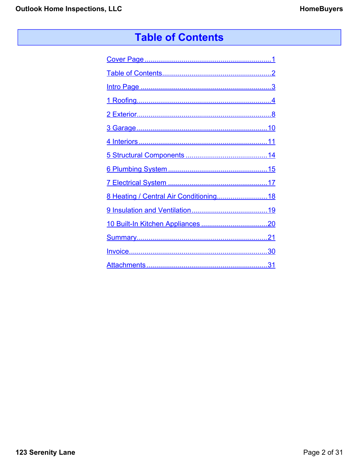# **Table of Contents**

<span id="page-1-0"></span>

| 8 Heating / Central Air Conditioning18 |
|----------------------------------------|
|                                        |
|                                        |
|                                        |
|                                        |
|                                        |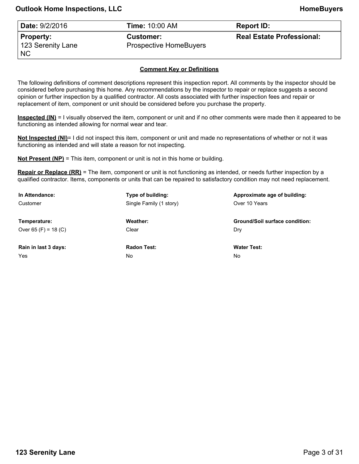<span id="page-2-0"></span>

| Date: 9/2/2016                         | <b>Time:</b> 10:00 AM                             | <b>Report ID:</b>                |
|----------------------------------------|---------------------------------------------------|----------------------------------|
| Property:<br>123 Serenity Lane<br>  NC | <b>Customer:</b><br><b>Prospective HomeBuyers</b> | <b>Real Estate Professional:</b> |

## **Comment Key or Definitions**

The following definitions of comment descriptions represent this inspection report. All comments by the inspector should be considered before purchasing this home. Any recommendations by the inspector to repair or replace suggests a second opinion or further inspection by a qualified contractor. All costs associated with further inspection fees and repair or replacement of item, component or unit should be considered before you purchase the property.

**Inspected (IN)** = I visually observed the item, component or unit and if no other comments were made then it appeared to be functioning as intended allowing for normal wear and tear.

**Not Inspected (NI)**= I did not inspect this item, component or unit and made no representations of whether or not it was functioning as intended and will state a reason for not inspecting.

**Not Present (NP)** = This item, component or unit is not in this home or building.

**Repair or Replace (RR)** = The item, component or unit is not functioning as intended, or needs further inspection by a qualified contractor. Items, components or units that can be repaired to satisfactory condition may not need replacement.

| In Attendance:       | Type of building:       | Approximate age of building:          |
|----------------------|-------------------------|---------------------------------------|
| Customer             | Single Family (1 story) | Over 10 Years                         |
| Temperature:         | Weather:                | <b>Ground/Soil surface condition:</b> |
| Over 65 (F) = 18 (C) | Clear                   | Dry                                   |
|                      |                         |                                       |
| Rain in last 3 days: | <b>Radon Test:</b>      | <b>Water Test:</b>                    |
| Yes                  | No.                     | No                                    |
|                      |                         |                                       |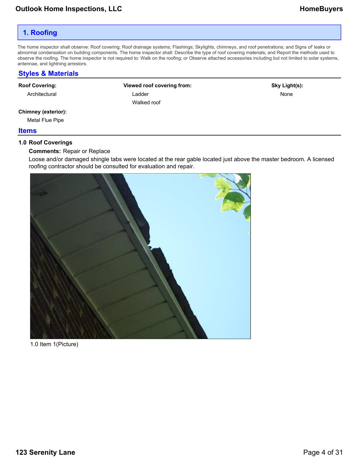## <span id="page-3-0"></span>**1. Roofing**

The home inspector shall observe: Roof covering; Roof drainage systems; Flashings; Skylights, chimneys, and roof penetrations; and Signs of' leaks or abnormal condensation on building components. The home inspector shall: Describe the type of roof covering materials; and Report the methods used to observe the roofing. The home inspector is not required to: Walk on the roofing; or Observe attached accessories including but not limited to solar systems, antennae, and lightning arrestors.

## **Styles & Materials**

#### **Roof Covering:**

Architectural

**Viewed roof covering from:** Ladder Walked roof

**Sky Light(s):** None

#### **Chimney (exterior):**

Metal Flue Pipe

#### **Items**

#### **1.0 Roof Coverings**

#### **Comments:** Repair or Replace

Loose and/or damaged shingle tabs were located at the rear gable located just above the master bedroom. A licensed roofing contractor should be consulted for evaluation and repair.



1.0 Item 1(Picture)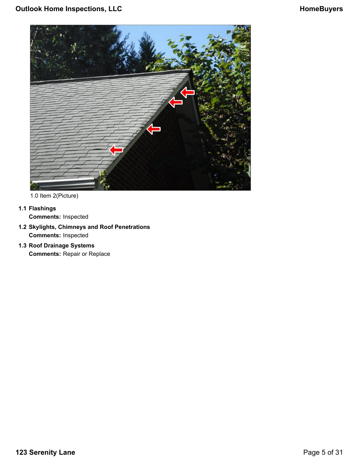

1.0 Item 2(Picture)

## **1.1 Flashings**

**Comments:** Inspected

- **1.2 Skylights, Chimneys and Roof Penetrations Comments:** Inspected
- **1.3 Roof Drainage Systems Comments:** Repair or Replace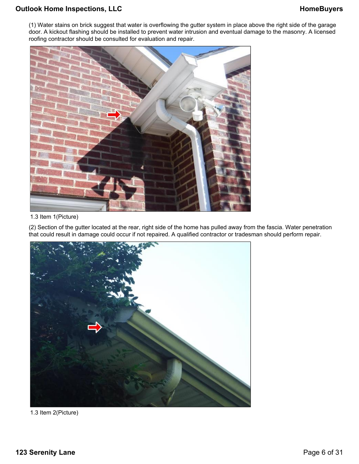## **Outlook Home Inspections, LLC HomeBuyers HomeBuyers**

(1) Water stains on brick suggest that water is overflowing the gutter system in place above the right side of the garage door. A kickout flashing should be installed to prevent water intrusion and eventual damage to the masonry. A licensed roofing contractor should be consulted for evaluation and repair.



## 1.3 Item 1(Picture)

(2) Section of the gutter located at the rear, right side of the home has pulled away from the fascia. Water penetration that could result in damage could occur if not repaired. A qualified contractor or tradesman should perform repair.



1.3 Item 2(Picture)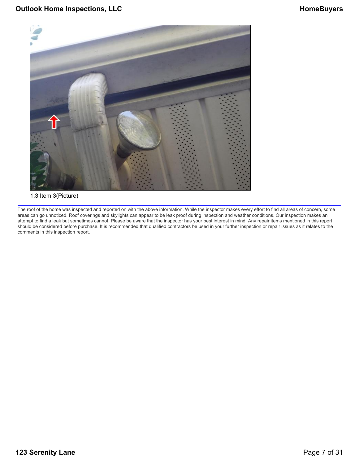

#### 1.3 Item 3(Picture)

The roof of the home was inspected and reported on with the above information. While the inspector makes every effort to find all areas of concern, some areas can go unnoticed. Roof coverings and skylights can appear to be leak proof during inspection and weather conditions. Our inspection makes an attempt to find a leak but sometimes cannot. Please be aware that the inspector has your best interest in mind. Any repair items mentioned in this report should be considered before purchase. It is recommended that qualified contractors be used in your further inspection or repair issues as it relates to the comments in this inspection report.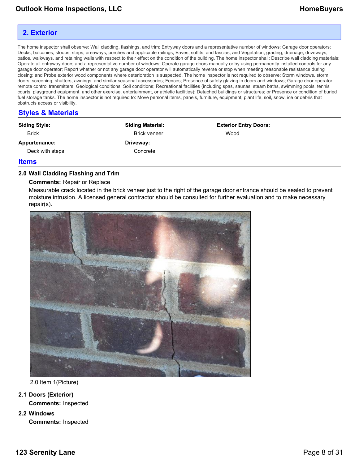## <span id="page-7-0"></span>**2. Exterior**

The home inspector shall observe: Wall cladding, flashings, and trim; Entryway doors and a representative number of windows; Garage door operators; Decks, balconies, stoops, steps, areaways, porches and applicable railings; Eaves, soffits, and fascias; and Vegetation, grading, drainage, driveways, patios, walkways, and retaining walls with respect to their effect on the condition of the building. The home inspector shall: Describe wall cladding materials; Operate all entryway doors and a representative number of windows; Operate garage doors manually or by using permanently installed controls for any garage door operator; Report whether or not any garage door operator will automatically reverse or stop when meeting reasonable resistance during closing; and Probe exterior wood components where deterioration is suspected. The home inspector is not required to observe: Storm windows, storm doors, screening, shutters, awnings, and similar seasonal accessories; Fences; Presence of safety glazing in doors and windows; Garage door operator remote control transmitters; Geological conditions; Soil conditions; Recreational facilities (including spas, saunas, steam baths, swimming pools, tennis courts, playground equipment, and other exercise, entertainment, or athletic facilities); Detached buildings or structures; or Presence or condition of buried fuel storage tanks. The home inspector is not required to: Move personal items, panels, furniture, equipment, plant life, soil, snow, ice or debris that obstructs access or visibility.

## **Styles & Materials**

| <b>Siding Style:</b> | <b>Siding Material:</b> | <b>Exterior Entry Doors:</b> |
|----------------------|-------------------------|------------------------------|
| <b>Brick</b>         | <b>Brick veneer</b>     | Wood                         |
| Appurtenance:        | Driveway:               |                              |
| Deck with steps      | Concrete                |                              |
|                      |                         |                              |

#### **Items**

## **2.0 Wall Cladding Flashing and Trim**

#### **Comments:** Repair or Replace

Measurable crack located in the brick veneer just to the right of the garage door entrance should be sealed to prevent moisture intrusion. A licensed general contractor should be consulted for further evaluation and to make necessary repair(s).



2.0 Item 1(Picture)

- **2.1 Doors (Exterior) Comments:** Inspected
- **2.2 Windows Comments:** Inspected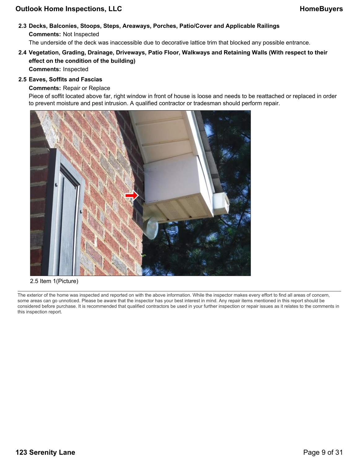## **Outlook Home Inspections, LLC HomeBuyers HomeBuyers**

## **2.3 Decks, Balconies, Stoops, Steps, Areaways, Porches, Patio/Cover and Applicable Railings Comments:** Not Inspected

The underside of the deck was inaccessible due to decorative lattice trim that blocked any possible entrance.

## **2.4 Vegetation, Grading, Drainage, Driveways, Patio Floor, Walkways and Retaining Walls (With respect to their effect on the condition of the building)**

**Comments:** Inspected

## **2.5 Eaves, Soffits and Fascias**

## **Comments:** Repair or Replace

Piece of soffit located above far, right window in front of house is loose and needs to be reattached or replaced in order to prevent moisture and pest intrusion. A qualified contractor or tradesman should perform repair.



#### 2.5 Item 1(Picture)

The exterior of the home was inspected and reported on with the above information. While the inspector makes every effort to find all areas of concern, some areas can go unnoticed. Please be aware that the inspector has your best interest in mind. Any repair items mentioned in this report should be considered before purchase. It is recommended that qualified contractors be used in your further inspection or repair issues as it relates to the comments in this inspection report.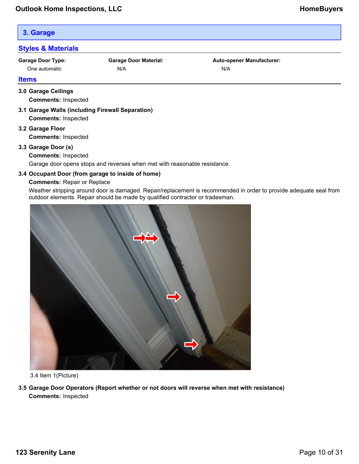## <span id="page-9-0"></span>**3. Garage**

## **Styles & Materials**

**Garage Door Type:** One automatic

**Garage Door Material:** N/A

**Auto-opener Manufacturer:** N/A

#### **Items**

## **3.0 Garage Ceilings Comments:** Inspected

- **3.1 Garage Walls (including Firewall Separation) Comments:** Inspected
- **3.2 Garage Floor Comments:** Inspected

## **3.3 Garage Door (s)**

## **Comments:** Inspected

Garage door opens stops and reverses when met with reasonable resistance.

## **3.4 Occupant Door (from garage to inside of home)**

## **Comments:** Repair or Replace

Weather stripping around door is damaged. Repair/replacement is recommended in order to provide adequate seal from outdoor elements. Repair should be made by qualified contractor or tradesman.



3.4 Item 1(Picture)

**3.5 Garage Door Operators (Report whether or not doors will reverse when met with resistance) Comments:** Inspected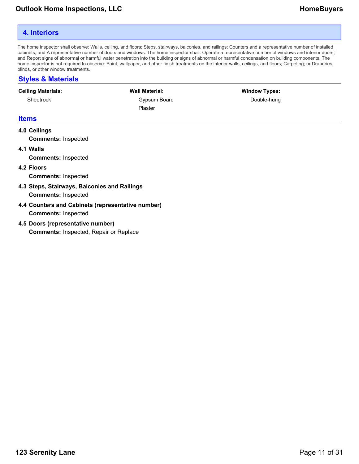## <span id="page-10-0"></span>**4. Interiors**

The home inspector shall observe: Walls, ceiling, and floors; Steps, stairways, balconies, and railings; Counters and a representative number of installed cabinets; and A representative number of doors and windows. The home inspector shall: Operate a representative number of windows and interior doors; and Report signs of abnormal or harmful water penetration into the building or signs of abnormal or harmful condensation on building components. The home inspector is not required to observe: Paint, wallpaper, and other finish treatments on the interior walls, ceilings, and floors; Carpeting; or Draperies, blinds, or other window treatments.

## **Styles & Materials**

| <b>Ceiling Materials:</b>  | <b>Wall Material:</b>          | <b>Window Types:</b> |  |
|----------------------------|--------------------------------|----------------------|--|
| Sheetrock                  | Gypsum Board<br><b>Plaster</b> | Double-hung          |  |
| <b>Items</b>               |                                |                      |  |
| 4.0 Ceilings               |                                |                      |  |
| <b>Comments: Inspected</b> |                                |                      |  |
| 4.1 Walls                  |                                |                      |  |

**Comments:** Inspected

**4.2 Floors**

**Comments:** Inspected

- **4.3 Steps, Stairways, Balconies and Railings Comments:** Inspected
- **4.4 Counters and Cabinets (representative number) Comments:** Inspected
- **4.5 Doors (representative number)**

**Comments:** Inspected, Repair or Replace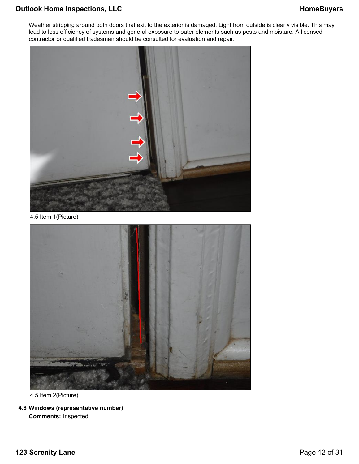## **Outlook Home Inspections, LLC HomeBuyers HomeBuyers**

Weather stripping around both doors that exit to the exterior is damaged. Light from outside is clearly visible. This may lead to less efficiency of systems and general exposure to outer elements such as pests and moisture. A licensed contractor or qualified tradesman should be consulted for evaluation and repair.



4.5 Item 1(Picture)



4.5 Item 2(Picture)

**4.6 Windows (representative number) Comments:** Inspected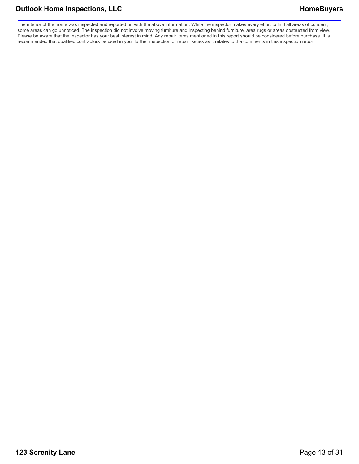## **Outlook Home Inspections, LLC HomeBuyers HomeBuyers**

The interior of the home was inspected and reported on with the above information. While the inspector makes every effort to find all areas of concern, some areas can go unnoticed. The inspection did not involve moving furniture and inspecting behind furniture, area rugs or areas obstructed from view. Please be aware that the inspector has your best interest in mind. Any repair items mentioned in this report should be considered before purchase. It is recommended that qualified contractors be used in your further inspection or repair issues as it relates to the comments in this inspection report.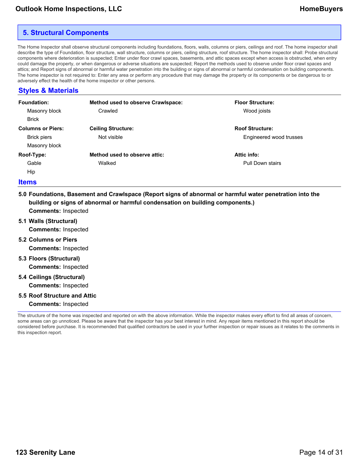## <span id="page-13-0"></span>**5. Structural Components**

The Home Inspector shall observe structural components including foundations, floors, walls, columns or piers, ceilings and roof. The home inspector shall describe the type of Foundation, floor structure, wall structure, columns or piers, ceiling structure, roof structure. The home inspector shall: Probe structural components where deterioration is suspected; Enter under floor crawl spaces, basements, and attic spaces except when access is obstructed, when entry could damage the property, or when dangerous or adverse situations are suspected; Report the methods used to observe under floor crawl spaces and attics; and Report signs of abnormal or harmful water penetration into the building or signs of abnormal or harmful condensation on building components. The home inspector is not required to: Enter any area or perform any procedure that may damage the property or its components or be dangerous to or adversely effect the health of the home inspector or other persons.

## **Styles & Materials**

| <b>Foundation:</b>       | Method used to observe Crawlspace: | <b>Floor Structure:</b> |
|--------------------------|------------------------------------|-------------------------|
| Masonry block            | Crawled                            | Wood joists             |
| <b>Brick</b>             |                                    |                         |
| <b>Columns or Piers:</b> | <b>Ceiling Structure:</b>          | <b>Roof Structure:</b>  |
| <b>Brick piers</b>       | Not visible                        | Engineered wood trusses |
| Masonry block            |                                    |                         |
| Roof-Type:               | Method used to observe attic:      | Attic info:             |
| Gable                    | Walked                             | Pull Down stairs        |
| Hip                      |                                    |                         |

#### **Items**

- **5.0 Foundations, Basement and Crawlspace (Report signs of abnormal or harmful water penetration into the building or signs of abnormal or harmful condensation on building components.) Comments:** Inspected
- **5.1 Walls (Structural) Comments:** Inspected
- **5.2 Columns or Piers Comments:** Inspected
- **5.3 Floors (Structural) Comments:** Inspected
- **5.4 Ceilings (Structural) Comments:** Inspected
- **5.5 Roof Structure and Attic**
	- **Comments:** Inspected

The structure of the home was inspected and reported on with the above information. While the inspector makes every effort to find all areas of concern, some areas can go unnoticed. Please be aware that the inspector has your best interest in mind. Any repair items mentioned in this report should be considered before purchase. It is recommended that qualified contractors be used in your further inspection or repair issues as it relates to the comments in this inspection report.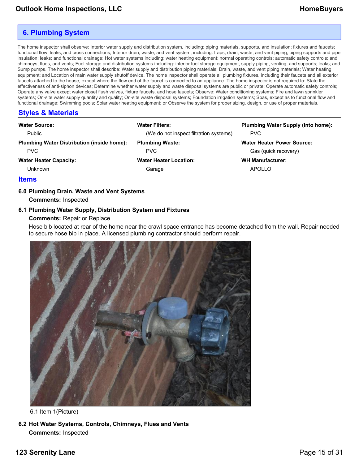## <span id="page-14-0"></span>**6. Plumbing System**

The home inspector shall observe: Interior water supply and distribution system, including: piping materials, supports, and insulation; fixtures and faucets; functional flow; leaks; and cross connections; Interior drain, waste, and vent system, including: traps; drain, waste, and vent piping; piping supports and pipe insulation; leaks; and functional drainage; Hot water systems including: water heating equipment; normal operating controls; automatic safety controls; and chimneys, flues, and vents; Fuel storage and distribution systems including: interior fuel storage equipment, supply piping, venting, and supports; leaks; and Sump pumps. The home inspector shall describe: Water supply and distribution piping materials; Drain, waste, and vent piping materials; Water heating equipment; and Location of main water supply shutoff device. The home inspector shall operate all plumbing fixtures, including their faucets and all exterior faucets attached to the house, except where the flow end of the faucet is connected to an appliance. The home inspector is not required to: State the effectiveness of anti-siphon devices; Determine whether water supply and waste disposal systems are public or private; Operate automatic safety controls; Operate any valve except water closet flush valves, fixture faucets, and hose faucets; Observe: Water conditioning systems; Fire and lawn sprinkler systems; On-site water supply quantity and quality; On-site waste disposal systems; Foundation irrigation systems; Spas, except as to functional flow and functional drainage; Swimming pools; Solar water heating equipment; or Observe the system for proper sizing, design, or use of proper materials.

## **Styles & Materials**

| <b>Water Source:</b><br>Public                    | <b>Water Filters:</b><br>(We do not inspect filtration systems) | <b>Plumbing Water Supply (into home):</b><br><b>PVC</b> |
|---------------------------------------------------|-----------------------------------------------------------------|---------------------------------------------------------|
| <b>Plumbing Water Distribution (inside home):</b> | <b>Plumbing Waste:</b>                                          | <b>Water Heater Power Source:</b>                       |
| PVC.                                              | PVC.                                                            | Gas (quick recovery)                                    |
| <b>Water Heater Capacity:</b>                     | <b>Water Heater Location:</b>                                   | <b>WH Manufacturer:</b>                                 |
| Unknown                                           | Garage                                                          | APOLLO                                                  |
|                                                   |                                                                 |                                                         |

## **Items**

## **6.0 Plumbing Drain, Waste and Vent Systems Comments:** Inspected

## **6.1 Plumbing Water Supply, Distribution System and Fixtures**

#### **Comments:** Repair or Replace

Hose bib located at rear of the home near the crawl space entrance has become detached from the wall. Repair needed to secure hose bib in place. A licensed plumbing contractor should perform repair.



6.1 Item 1(Picture)

**6.2 Hot Water Systems, Controls, Chimneys, Flues and Vents Comments:** Inspected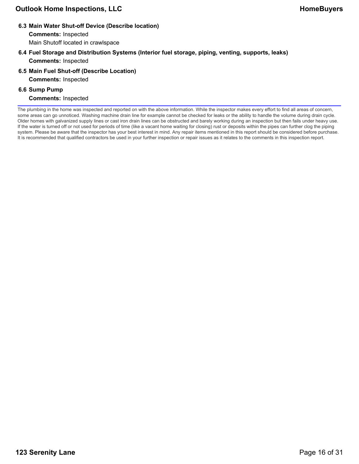**6.3 Main Water Shut-off Device (Describe location)**

**Comments:** Inspected

Main Shutoff located in crawlspace

- **6.4 Fuel Storage and Distribution Systems (Interior fuel storage, piping, venting, supports, leaks) Comments:** Inspected
- **6.5 Main Fuel Shut-off (Describe Location) Comments:** Inspected

## **6.6 Sump Pump**

**Comments:** Inspected

The plumbing in the home was inspected and reported on with the above information. While the inspector makes every effort to find all areas of concern, some areas can go unnoticed. Washing machine drain line for example cannot be checked for leaks or the ability to handle the volume during drain cycle. Older homes with galvanized supply lines or cast iron drain lines can be obstructed and barely working during an inspection but then fails under heavy use. If the water is turned off or not used for periods of time (like a vacant home waiting for closing) rust or deposits within the pipes can further clog the piping system. Please be aware that the inspector has your best interest in mind. Any repair items mentioned in this report should be considered before purchase. It is recommended that qualified contractors be used in your further inspection or repair issues as it relates to the comments in this inspection report.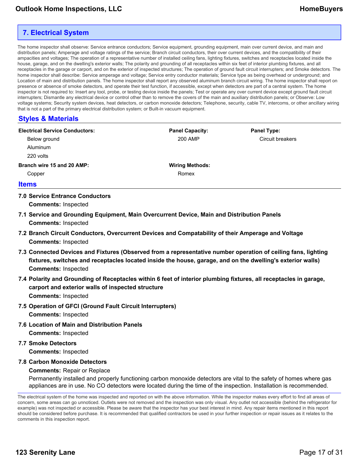## <span id="page-16-0"></span>**7. Electrical System**

The home inspector shall observe: Service entrance conductors; Service equipment, grounding equipment, main over current device, and main and distribution panels; Amperage and voltage ratings of the service; Branch circuit conductors, their over current devices, and the compatibility of their ampacities and voltages; The operation of a representative number of installed ceiling fans, lighting fixtures, switches and receptacles located inside the house, garage, and on the dwelling's exterior walls; The polarity and grounding of all receptacles within six feet of interior plumbing fixtures, and all receptacles in the garage or carport, and on the exterior of inspected structures; The operation of ground fault circuit interrupters; and Smoke detectors. The home inspector shall describe: Service amperage and voltage; Service entry conductor materials; Service type as being overhead or underground; and Location of main and distribution panels. The home inspector shall report any observed aluminum branch circuit wiring. The home inspector shall report on presence or absence of smoke detectors, and operate their test function, if accessible, except when detectors are part of a central system. The home inspector is not required to: Insert any tool, probe, or testing device inside the panels; Test or operate any over current device except ground fault circuit interrupters; Dismantle any electrical device or control other than to remove the covers of the main and auxiliary distribution panels; or Observe: Low voltage systems; Security system devices, heat detectors, or carbon monoxide detectors; Telephone, security, cable TV, intercoms, or other ancillary wiring that is not a part of the primary electrical distribution system; or Built-in vacuum equipment.

## **Styles & Materials**

| <b>Electrical Service Conductors:</b> | <b>Panel Capacity:</b> | <b>Panel Type:</b> |
|---------------------------------------|------------------------|--------------------|
| Below ground                          | 200 AMP                | Circuit breakers   |
| <b>Aluminum</b>                       |                        |                    |
| 220 volts                             |                        |                    |
| Branch wire 15 and 20 AMP:            | <b>Wiring Methods:</b> |                    |
| Copper                                | Romex                  |                    |
| $\mathbf{H}$ and $\mathbf{H}$         |                        |                    |

#### **Items**

**7.0 Service Entrance Conductors**

**Comments:** Inspected

- **7.1 Service and Grounding Equipment, Main Overcurrent Device, Main and Distribution Panels Comments:** Inspected
- **7.2 Branch Circuit Conductors, Overcurrent Devices and Compatability of their Amperage and Voltage Comments:** Inspected
- **7.3 Connected Devices and Fixtures (Observed from a representative number operation of ceiling fans, lighting fixtures, switches and receptacles located inside the house, garage, and on the dwelling's exterior walls) Comments:** Inspected
- **7.4 Polarity and Grounding of Receptacles within 6 feet of interior plumbing fixtures, all receptacles in garage, carport and exterior walls of inspected structure Comments:** Inspected
- **7.5 Operation of GFCI (Ground Fault Circuit Interrupters) Comments:** Inspected
- **7.6 Location of Main and Distribution Panels Comments:** Inspected
- **7.7 Smoke Detectors**

**Comments:** Inspected

**7.8 Carbon Monoxide Detectors**

## **Comments:** Repair or Replace

Permanently installed and properly functioning carbon monoxide detectors are vital to the safety of homes where gas appliances are in use. No CO detectors were located during the time of the inspection. Installation is recommended.

The electrical system of the home was inspected and reported on with the above information. While the inspector makes every effort to find all areas of concern, some areas can go unnoticed. Outlets were not removed and the inspection was only visual. Any outlet not accessible (behind the refrigerator for example) was not inspected or accessible. Please be aware that the inspector has your best interest in mind. Any repair items mentioned in this report should be considered before purchase. It is recommended that qualified contractors be used in your further inspection or repair issues as it relates to the comments in this inspection report.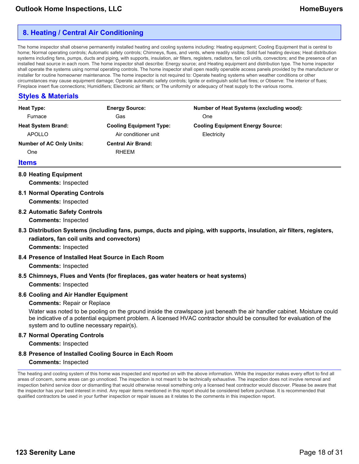## <span id="page-17-0"></span>**8. Heating / Central Air Conditioning**

The home inspector shall observe permanently installed heating and cooling systems including: Heating equipment; Cooling Equipment that is central to home; Normal operating controls; Automatic safety controls; Chimneys, flues, and vents, where readily visible; Solid fuel heating devices; Heat distribution systems including fans, pumps, ducts and piping, with supports, insulation, air filters, registers, radiators, fan coil units, convectors; and the presence of an installed heat source in each room. The home inspector shall describe: Energy source; and Heating equipment and distribution type. The home inspector shall operate the systems using normal operating controls. The home inspector shall open readily openable access panels provided by the manufacturer or installer for routine homeowner maintenance. The home inspector is not required to: Operate heating systems when weather conditions or other circumstances may cause equipment damage; Operate automatic safety controls; Ignite or extinguish solid fuel fires; or Observe: The interior of flues; Fireplace insert flue connections; Humidifiers; Electronic air filters; or The uniformity or adequacy of heat supply to the various rooms.

## **Styles & Materials**

| <b>Heat Type:</b>               | <b>Energy Source:</b>          | <b>Number of Heat Systems (excluding wood):</b> |
|---------------------------------|--------------------------------|-------------------------------------------------|
| Furnace                         | Gas                            | One                                             |
| <b>Heat System Brand:</b>       | <b>Cooling Equipment Type:</b> | <b>Cooling Equipment Energy Source:</b>         |
| APOLLO                          | Air conditioner unit           | Electricity                                     |
| <b>Number of AC Only Units:</b> | <b>Central Air Brand:</b>      |                                                 |
| <b>One</b>                      | RHEEM                          |                                                 |
|                                 |                                |                                                 |

#### **Items**

## **8.0 Heating Equipment**

**Comments:** Inspected

- **8.1 Normal Operating Controls Comments:** Inspected
- **8.2 Automatic Safety Controls Comments:** Inspected

## **8.3 Distribution Systems (including fans, pumps, ducts and piping, with supports, insulation, air filters, registers, radiators, fan coil units and convectors) Comments:** Inspected

## **8.4 Presence of Installed Heat Source in Each Room**

**Comments:** Inspected

## **8.5 Chimneys, Flues and Vents (for fireplaces, gas water heaters or heat systems)**

**Comments:** Inspected

## **8.6 Cooling and Air Handler Equipment**

## **Comments:** Repair or Replace

Water was noted to be pooling on the ground inside the crawlspace just beneath the air handler cabinet. Moisture could be indicative of a potential equipment problem. A licensed HVAC contractor should be consulted for evaluation of the system and to outline necessary repair(s).

## **8.7 Normal Operating Controls**

**Comments:** Inspected

## **8.8 Presence of Installed Cooling Source in Each Room**

## **Comments:** Inspected

The heating and cooling system of this home was inspected and reported on with the above information. While the inspector makes every effort to find all areas of concern, some areas can go unnoticed. The inspection is not meant to be technically exhaustive. The inspection does not involve removal and inspection behind service door or dismantling that would otherwise reveal something only a licensed heat contractor would discover. Please be aware that the inspector has your best interest in mind. Any repair items mentioned in this report should be considered before purchase. It is recommended that qualified contractors be used in your further inspection or repair issues as it relates to the comments in this inspection report.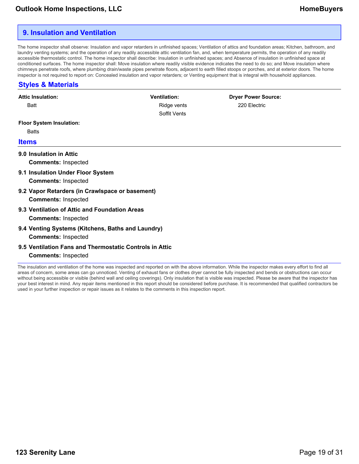## <span id="page-18-0"></span>**9. Insulation and Ventilation**

The home inspector shall observe: Insulation and vapor retarders in unfinished spaces; Ventilation of attics and foundation areas; Kitchen, bathroom, and laundry venting systems; and the operation of any readily accessible attic ventilation fan, and, when temperature permits, the operation of any readily accessible thermostatic control. The home inspector shall describe: Insulation in unfinished spaces; and Absence of insulation in unfinished space at conditioned surfaces. The home inspector shall: Move insulation where readily visible evidence indicates the need to do so; and Move insulation where chimneys penetrate roofs, where plumbing drain/waste pipes penetrate floors, adjacent to earth filled stoops or porches, and at exterior doors. The home inspector is not required to report on: Concealed insulation and vapor retarders; or Venting equipment that is integral with household appliances.

## **Styles & Materials**

| <b>Attic Insulation:</b>                                | <b>Ventilation:</b> | <b>Dryer Power Source:</b> |  |
|---------------------------------------------------------|---------------------|----------------------------|--|
| <b>Batt</b>                                             | Ridge vents         | 220 Electric               |  |
|                                                         | Soffit Vents        |                            |  |
| <b>Floor System Insulation:</b>                         |                     |                            |  |
| <b>Batts</b>                                            |                     |                            |  |
| <b>Items</b>                                            |                     |                            |  |
| 9.0 Insulation in Attic                                 |                     |                            |  |
| <b>Comments: Inspected</b>                              |                     |                            |  |
| 9.1 Insulation Under Floor System                       |                     |                            |  |
| <b>Comments: Inspected</b>                              |                     |                            |  |
| 9.2 Vapor Retarders (in Crawlspace or basement)         |                     |                            |  |
| <b>Comments: Inspected</b>                              |                     |                            |  |
| 9.3 Ventilation of Attic and Foundation Areas           |                     |                            |  |
| <b>Comments: Inspected</b>                              |                     |                            |  |
| 9.4 Venting Systems (Kitchens, Baths and Laundry)       |                     |                            |  |
| <b>Comments: Inspected</b>                              |                     |                            |  |
| 9.5 Ventilation Fans and Thermostatic Controls in Attic |                     |                            |  |
| <b>Comments: Inspected</b>                              |                     |                            |  |

The insulation and ventilation of the home was inspected and reported on with the above information. While the inspector makes every effort to find all areas of concern, some areas can go unnoticed. Venting of exhaust fans or clothes dryer cannot be fully inspected and bends or obstructions can occur without being accessible or visible (behind wall and ceiling coverings). Only insulation that is visible was inspected. Please be aware that the inspector has your best interest in mind. Any repair items mentioned in this report should be considered before purchase. It is recommended that qualified contractors be used in your further inspection or repair issues as it relates to the comments in this inspection report.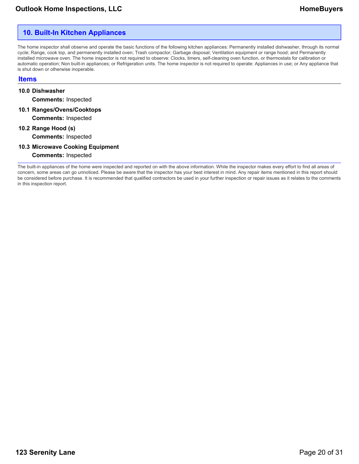## <span id="page-19-0"></span>**10. Built-In Kitchen Appliances**

The home inspector shall observe and operate the basic functions of the following kitchen appliances: Permanently installed dishwasher, through its normal cycle; Range, cook top, and permanently installed oven; Trash compactor; Garbage disposal; Ventilation equipment or range hood; and Permanently installed microwave oven. The home inspector is not required to observe: Clocks, timers, self-cleaning oven function, or thermostats for calibration or automatic operation; Non built-in appliances; or Refrigeration units. The home inspector is not required to operate: Appliances in use; or Any appliance that is shut down or otherwise inoperable.

#### **Items**

#### **10.0 Dishwasher**

**Comments:** Inspected

- **10.1 Ranges/Ovens/Cooktops Comments:** Inspected
- **10.2 Range Hood (s) Comments:** Inspected
- **10.3 Microwave Cooking Equipment**

**Comments:** Inspected

The built-in appliances of the home were inspected and reported on with the above information. While the inspector makes every effort to find all areas of concern, some areas can go unnoticed. Please be aware that the inspector has your best interest in mind. Any repair items mentioned in this report should be considered before purchase. It is recommended that qualified contractors be used in your further inspection or repair issues as it relates to the comments in this inspection report.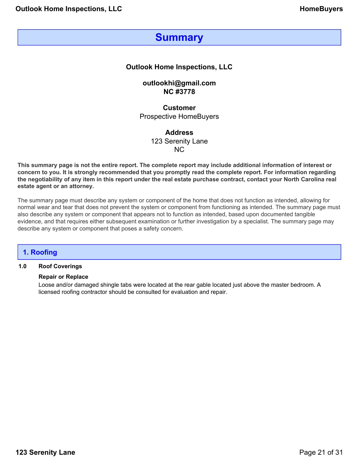## **Summary**

## <span id="page-20-0"></span>**Outlook Home Inspections, LLC**

**outlookhi@gmail.com NC #3778**

**Customer** Prospective HomeBuyers

> **Address** 123 Serenity Lane NC

**This summary page is not the entire report. The complete report may include additional information of interest or concern to you. It is strongly recommended that you promptly read the complete report. For information regarding the negotiability of any item in this report under the real estate purchase contract, contact your North Carolina real estate agent or an attorney.**

The summary page must describe any system or component of the home that does not function as intended, allowing for normal wear and tear that does not prevent the system or component from functioning as intended. The summary page must also describe any system or component that appears not to function as intended, based upon documented tangible evidence, and that requires either subsequent examination or further investigation by a specialist. The summary page may describe any system or component that poses a safety concern.

## **1. Roofing**

## **1.0 Roof Coverings**

#### **Repair or Replace**

Loose and/or damaged shingle tabs were located at the rear gable located just above the master bedroom. A licensed roofing contractor should be consulted for evaluation and repair.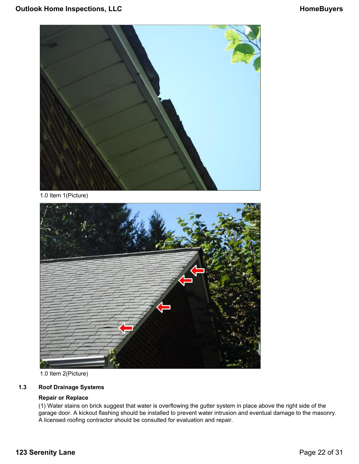

1.0 Item 1(Picture)



1.0 Item 2(Picture)

## **1.3 Roof Drainage Systems**

## **Repair or Replace**

(1) Water stains on brick suggest that water is overflowing the gutter system in place above the right side of the garage door. A kickout flashing should be installed to prevent water intrusion and eventual damage to the masonry. A licensed roofing contractor should be consulted for evaluation and repair.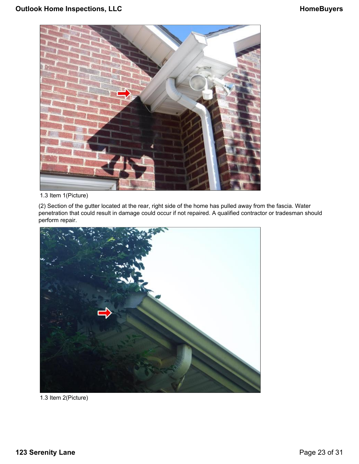

1.3 Item 1(Picture)

(2) Section of the gutter located at the rear, right side of the home has pulled away from the fascia. Water penetration that could result in damage could occur if not repaired. A qualified contractor or tradesman should perform repair.



1.3 Item 2(Picture)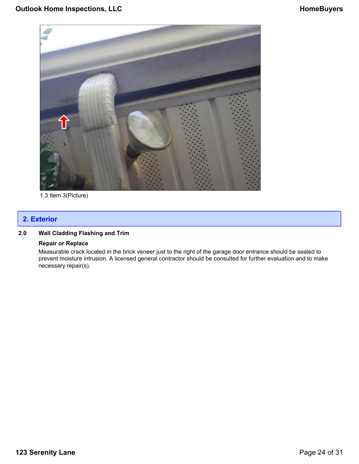

1.3 Item 3(Picture)

## **2. Exterior**

## **2.0 Wall Cladding Flashing and Trim**

#### **Repair or Replace**

Measurable crack located in the brick veneer just to the right of the garage door entrance should be sealed to prevent moisture intrusion. A licensed general contractor should be consulted for further evaluation and to make necessary repair(s).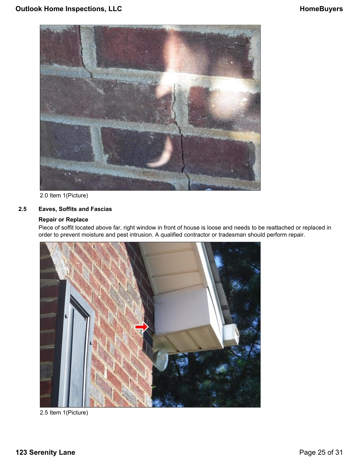

2.0 Item 1(Picture)

## **2.5 Eaves, Soffits and Fascias**

## **Repair or Replace**

Piece of soffit located above far, right window in front of house is loose and needs to be reattached or replaced in order to prevent moisture and pest intrusion. A qualified contractor or tradesman should perform repair.



2.5 Item 1(Picture)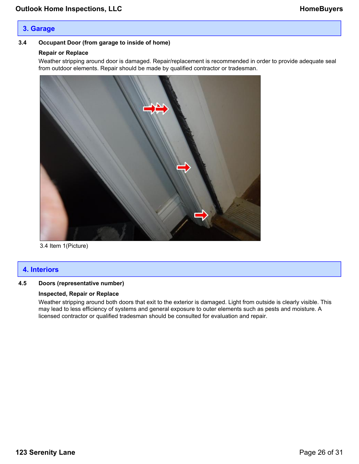## **3. Garage**

## **3.4 Occupant Door (from garage to inside of home)**

## **Repair or Replace**

Weather stripping around door is damaged. Repair/replacement is recommended in order to provide adequate seal from outdoor elements. Repair should be made by qualified contractor or tradesman.



3.4 Item 1(Picture)

## **4. Interiors**

## **4.5 Doors (representative number)**

## **Inspected, Repair or Replace**

Weather stripping around both doors that exit to the exterior is damaged. Light from outside is clearly visible. This may lead to less efficiency of systems and general exposure to outer elements such as pests and moisture. A licensed contractor or qualified tradesman should be consulted for evaluation and repair.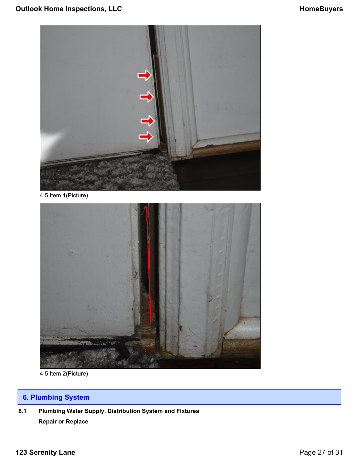

4.5 Item 1(Picture)



4.5 Item 2(Picture)

## **6. Plumbing System**

**6.1 Plumbing Water Supply, Distribution System and Fixtures Repair or Replace**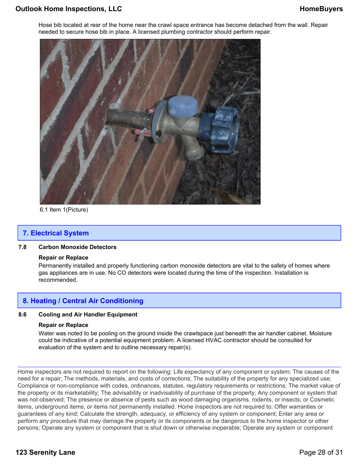## **Outlook Home Inspections, LLC HomeBuyers HomeBuyers**

Hose bib located at rear of the home near the crawl space entrance has become detached from the wall. Repair needed to secure hose bib in place. A licensed plumbing contractor should perform repair.



6.1 Item 1(Picture)

## **7. Electrical System**

## **7.8 Carbon Monoxide Detectors**

#### **Repair or Replace**

Permanently installed and properly functioning carbon monoxide detectors are vital to the safety of homes where gas appliances are in use. No CO detectors were located during the time of the inspection. Installation is recommended.

## **8. Heating / Central Air Conditioning**

## **8.6 Cooling and Air Handler Equipment**

#### **Repair or Replace**

Water was noted to be pooling on the ground inside the crawlspace just beneath the air handler cabinet. Moisture could be indicative of a potential equipment problem. A licensed HVAC contractor should be consulted for evaluation of the system and to outline necessary repair(s).

Home inspectors are not required to report on the following: Life expectancy of any component or system; The causes of the need for a repair; The methods, materials, and costs of corrections; The suitability of the property for any specialized use; Compliance or non-compliance with codes, ordinances, statutes, regulatory requirements or restrictions; The market value of the property or its marketability; The advisability or inadvisability of purchase of the property; Any component or system that was not observed; The presence or absence of pests such as wood damaging organisms, rodents, or insects; or Cosmetic items, underground items, or items not permanently installed. Home inspectors are not required to: Offer warranties or guarantees of any kind; Calculate the strength, adequacy, or efficiency of any system or component; Enter any area or perform any procedure that may damage the property or its components or be dangerous to the home inspector or other persons; Operate any system or component that is shut down or otherwise inoperable; Operate any system or component

## **123 Serenity Lane** Page 28 of 31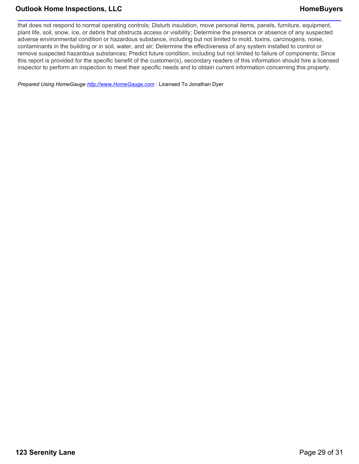## **Outlook Home Inspections, LLC** And the Mateuralian of the HomeBuyers of the HomeBuyers

that does not respond to normal operating controls; Disturb insulation, move personal items, panels, furniture, equipment, plant life, soil, snow, ice, or debris that obstructs access or visibility; Determine the presence or absence of any suspected adverse environmental condition or hazardous substance, including but not limited to mold, toxins, carcinogens, noise, contaminants in the building or in soil, water, and air; Determine the effectiveness of any system installed to control or remove suspected hazardous substances; Predict future condition, including but not limited to failure of components; Since this report is provided for the specific benefit of the customer(s), secondary readers of this information should hire a licensed inspector to perform an inspection to meet their specific needs and to obtain current information concerning this property.

*Prepared Using HomeGauge <http://www.HomeGauge.com>* : Licensed To Jonathan Dyer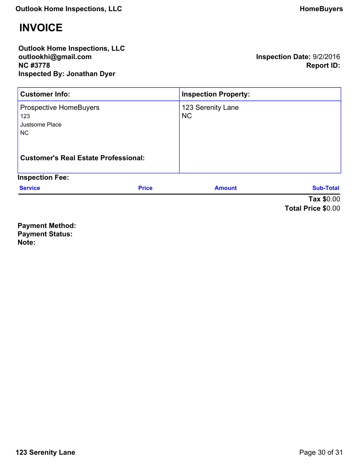# <span id="page-29-0"></span>**INVOICE**

**Outlook Home Inspections, LLC outlookhi@gmail.com NC #3778 Inspected By: Jonathan Dyer**

**Inspection Date:** 9/2/2016 **Report ID:**

| <b>Customer Info:</b>                                                                                              |              | <b>Inspection Property:</b>    |                           |
|--------------------------------------------------------------------------------------------------------------------|--------------|--------------------------------|---------------------------|
| <b>Prospective HomeBuyers</b><br>123<br>Justsome Place<br><b>NC</b><br><b>Customer's Real Estate Professional:</b> |              | 123 Serenity Lane<br><b>NC</b> |                           |
| <b>Inspection Fee:</b>                                                                                             |              |                                |                           |
| <b>Service</b>                                                                                                     | <b>Price</b> | <b>Amount</b>                  | <b>Sub-Total</b>          |
|                                                                                                                    |              |                                | Tax \$0.00                |
|                                                                                                                    |              |                                | <b>Total Price \$0.00</b> |

**Payment Method: Payment Status: Note:**